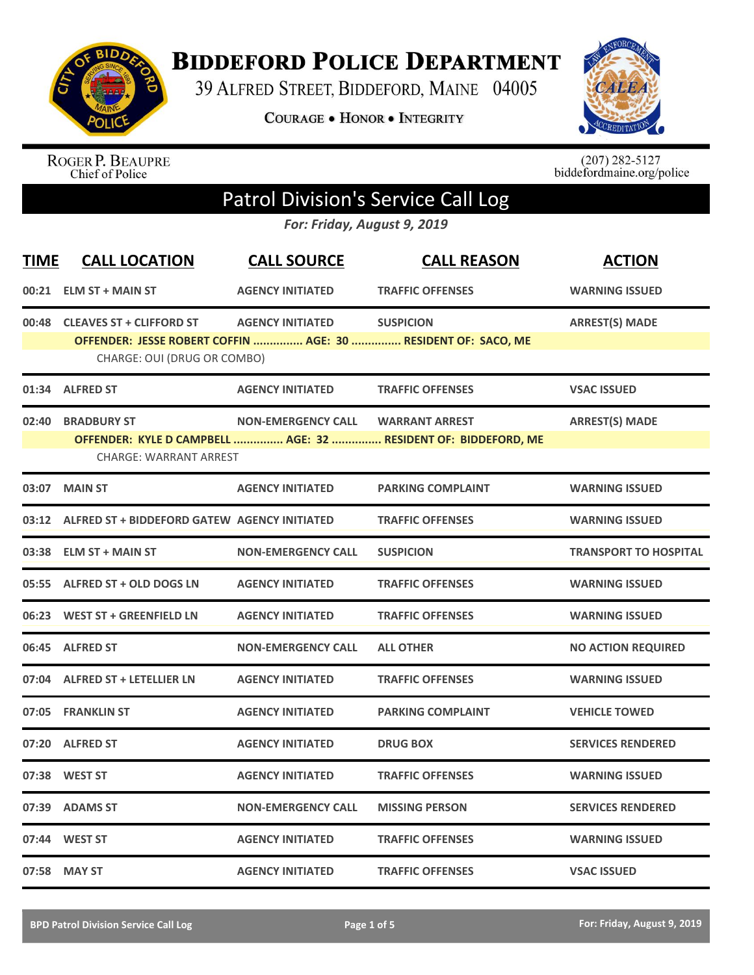

## **BIDDEFORD POLICE DEPARTMENT**

39 ALFRED STREET, BIDDEFORD, MAINE 04005

**COURAGE . HONOR . INTEGRITY** 



ROGER P. BEAUPRE<br>Chief of Police

 $(207)$  282-5127<br>biddefordmaine.org/police

## Patrol Division's Service Call Log

*For: Friday, August 9, 2019*

| <b>TIME</b> | <b>CALL LOCATION</b>                                | <b>CALL SOURCE</b>        | <b>CALL REASON</b>                                                                | <b>ACTION</b>                |
|-------------|-----------------------------------------------------|---------------------------|-----------------------------------------------------------------------------------|------------------------------|
|             | 00:21 ELM ST + MAIN ST                              | <b>AGENCY INITIATED</b>   | <b>TRAFFIC OFFENSES</b>                                                           | <b>WARNING ISSUED</b>        |
|             | 00:48 CLEAVES ST + CLIFFORD ST                      | <b>AGENCY INITIATED</b>   | <b>SUSPICION</b><br>OFFENDER: JESSE ROBERT COFFIN  AGE: 30  RESIDENT OF: SACO, ME | <b>ARREST(S) MADE</b>        |
|             | CHARGE: OUI (DRUG OR COMBO)                         |                           |                                                                                   |                              |
|             | 01:34 ALFRED ST                                     | <b>AGENCY INITIATED</b>   | <b>TRAFFIC OFFENSES</b>                                                           | <b>VSAC ISSUED</b>           |
| 02:40       | <b>BRADBURY ST</b>                                  | <b>NON-EMERGENCY CALL</b> | <b>WARRANT ARREST</b>                                                             | <b>ARREST(S) MADE</b>        |
|             | <b>CHARGE: WARRANT ARREST</b>                       |                           | OFFENDER: KYLE D CAMPBELL  AGE: 32  RESIDENT OF: BIDDEFORD, ME                    |                              |
| 03:07       | <b>MAIN ST</b>                                      | <b>AGENCY INITIATED</b>   | <b>PARKING COMPLAINT</b>                                                          | <b>WARNING ISSUED</b>        |
| 03:12       | <b>ALFRED ST + BIDDEFORD GATEW AGENCY INITIATED</b> |                           | <b>TRAFFIC OFFENSES</b>                                                           | <b>WARNING ISSUED</b>        |
|             | 03:38 ELM ST + MAIN ST                              | <b>NON-EMERGENCY CALL</b> | <b>SUSPICION</b>                                                                  | <b>TRANSPORT TO HOSPITAL</b> |
|             | 05:55 ALFRED ST + OLD DOGS LN                       | <b>AGENCY INITIATED</b>   | <b>TRAFFIC OFFENSES</b>                                                           | <b>WARNING ISSUED</b>        |
|             | 06:23 WEST ST + GREENFIELD LN                       | <b>AGENCY INITIATED</b>   | <b>TRAFFIC OFFENSES</b>                                                           | <b>WARNING ISSUED</b>        |
|             | 06:45 ALFRED ST                                     | <b>NON-EMERGENCY CALL</b> | <b>ALL OTHER</b>                                                                  | <b>NO ACTION REQUIRED</b>    |
|             | 07:04 ALFRED ST + LETELLIER LN                      | <b>AGENCY INITIATED</b>   | <b>TRAFFIC OFFENSES</b>                                                           | <b>WARNING ISSUED</b>        |
|             | 07:05 FRANKLIN ST                                   | <b>AGENCY INITIATED</b>   | <b>PARKING COMPLAINT</b>                                                          | <b>VEHICLE TOWED</b>         |
|             | 07:20 ALFRED ST                                     | <b>AGENCY INITIATED</b>   | <b>DRUG BOX</b>                                                                   | <b>SERVICES RENDERED</b>     |
| 07:38       | <b>WEST ST</b>                                      | <b>AGENCY INITIATED</b>   | <b>TRAFFIC OFFENSES</b>                                                           | <b>WARNING ISSUED</b>        |
|             | 07:39 ADAMS ST                                      | <b>NON-EMERGENCY CALL</b> | <b>MISSING PERSON</b>                                                             | <b>SERVICES RENDERED</b>     |
|             | 07:44 WEST ST                                       | <b>AGENCY INITIATED</b>   | <b>TRAFFIC OFFENSES</b>                                                           | <b>WARNING ISSUED</b>        |
|             | 07:58 MAY ST                                        | <b>AGENCY INITIATED</b>   | <b>TRAFFIC OFFENSES</b>                                                           | <b>VSAC ISSUED</b>           |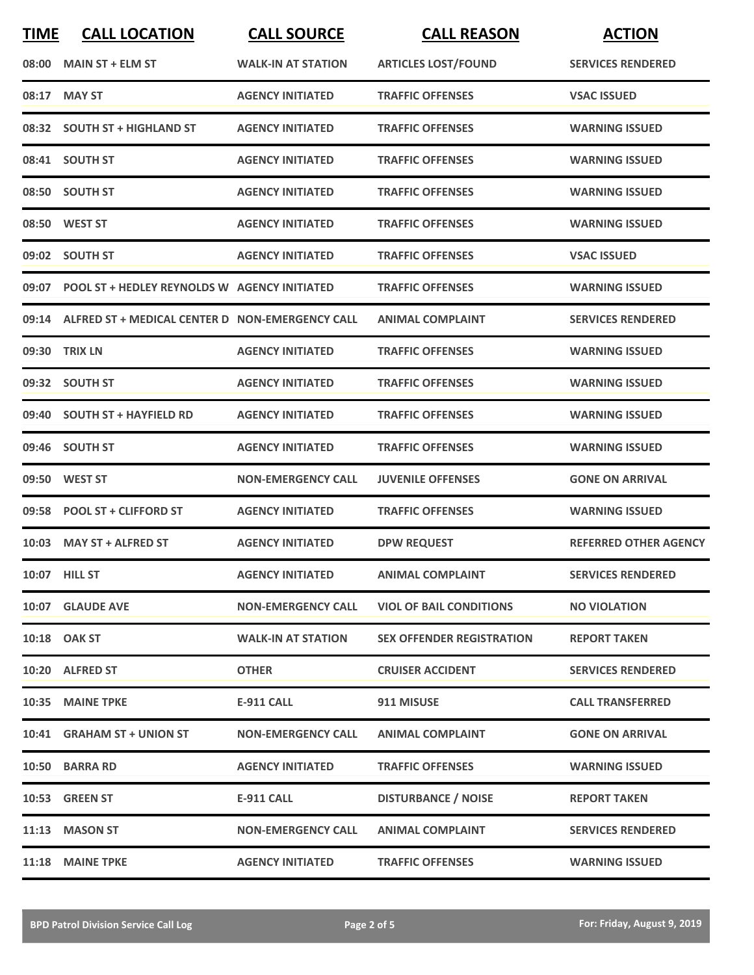| <b>TIME</b> | <b>CALL LOCATION</b>                                  | <b>CALL SOURCE</b>        | <b>CALL REASON</b>               | <b>ACTION</b>                |
|-------------|-------------------------------------------------------|---------------------------|----------------------------------|------------------------------|
| 08:00       | <b>MAIN ST + ELM ST</b>                               | <b>WALK-IN AT STATION</b> | <b>ARTICLES LOST/FOUND</b>       | <b>SERVICES RENDERED</b>     |
| 08:17       | <b>MAY ST</b>                                         | <b>AGENCY INITIATED</b>   | <b>TRAFFIC OFFENSES</b>          | <b>VSAC ISSUED</b>           |
|             | 08:32 SOUTH ST + HIGHLAND ST                          | <b>AGENCY INITIATED</b>   | <b>TRAFFIC OFFENSES</b>          | <b>WARNING ISSUED</b>        |
|             | 08:41 SOUTH ST                                        | <b>AGENCY INITIATED</b>   | <b>TRAFFIC OFFENSES</b>          | <b>WARNING ISSUED</b>        |
|             | 08:50 SOUTH ST                                        | <b>AGENCY INITIATED</b>   | <b>TRAFFIC OFFENSES</b>          | <b>WARNING ISSUED</b>        |
|             | 08:50 WEST ST                                         | <b>AGENCY INITIATED</b>   | <b>TRAFFIC OFFENSES</b>          | <b>WARNING ISSUED</b>        |
|             | 09:02 SOUTH ST                                        | <b>AGENCY INITIATED</b>   | <b>TRAFFIC OFFENSES</b>          | <b>VSAC ISSUED</b>           |
|             | 09:07 POOL ST + HEDLEY REYNOLDS W AGENCY INITIATED    |                           | <b>TRAFFIC OFFENSES</b>          | <b>WARNING ISSUED</b>        |
|             | 09:14 ALFRED ST + MEDICAL CENTER D NON-EMERGENCY CALL |                           | <b>ANIMAL COMPLAINT</b>          | <b>SERVICES RENDERED</b>     |
|             | 09:30 TRIX LN                                         | <b>AGENCY INITIATED</b>   | <b>TRAFFIC OFFENSES</b>          | <b>WARNING ISSUED</b>        |
|             | 09:32 SOUTH ST                                        | <b>AGENCY INITIATED</b>   | <b>TRAFFIC OFFENSES</b>          | <b>WARNING ISSUED</b>        |
|             | 09:40 SOUTH ST + HAYFIELD RD                          | <b>AGENCY INITIATED</b>   | <b>TRAFFIC OFFENSES</b>          | <b>WARNING ISSUED</b>        |
|             | 09:46 SOUTH ST                                        | <b>AGENCY INITIATED</b>   | <b>TRAFFIC OFFENSES</b>          | <b>WARNING ISSUED</b>        |
| 09:50       | <b>WEST ST</b>                                        | <b>NON-EMERGENCY CALL</b> | <b>JUVENILE OFFENSES</b>         | <b>GONE ON ARRIVAL</b>       |
|             | 09:58 POOL ST + CLIFFORD ST                           | <b>AGENCY INITIATED</b>   | <b>TRAFFIC OFFENSES</b>          | <b>WARNING ISSUED</b>        |
|             | 10:03 MAY ST + ALFRED ST                              | <b>AGENCY INITIATED</b>   | <b>DPW REQUEST</b>               | <b>REFERRED OTHER AGENCY</b> |
|             | 10:07 HILL ST                                         | <b>AGENCY INITIATED</b>   | <b>ANIMAL COMPLAINT</b>          | <b>SERVICES RENDERED</b>     |
|             | 10:07 GLAUDE AVE                                      | <b>NON-EMERGENCY CALL</b> | <b>VIOL OF BAIL CONDITIONS</b>   | <b>NO VIOLATION</b>          |
|             | 10:18 OAK ST                                          | <b>WALK-IN AT STATION</b> | <b>SEX OFFENDER REGISTRATION</b> | <b>REPORT TAKEN</b>          |
|             | 10:20 ALFRED ST                                       | <b>OTHER</b>              | <b>CRUISER ACCIDENT</b>          | <b>SERVICES RENDERED</b>     |
|             | 10:35 MAINE TPKE                                      | <b>E-911 CALL</b>         | 911 MISUSE                       | <b>CALL TRANSFERRED</b>      |
|             | 10:41 GRAHAM ST + UNION ST                            | <b>NON-EMERGENCY CALL</b> | <b>ANIMAL COMPLAINT</b>          | <b>GONE ON ARRIVAL</b>       |
|             | 10:50 BARRA RD                                        | <b>AGENCY INITIATED</b>   | <b>TRAFFIC OFFENSES</b>          | <b>WARNING ISSUED</b>        |
|             | 10:53 GREEN ST                                        | <b>E-911 CALL</b>         | <b>DISTURBANCE / NOISE</b>       | <b>REPORT TAKEN</b>          |
|             | 11:13 MASON ST                                        | <b>NON-EMERGENCY CALL</b> | <b>ANIMAL COMPLAINT</b>          | <b>SERVICES RENDERED</b>     |
|             | 11:18 MAINE TPKE                                      | <b>AGENCY INITIATED</b>   | <b>TRAFFIC OFFENSES</b>          | <b>WARNING ISSUED</b>        |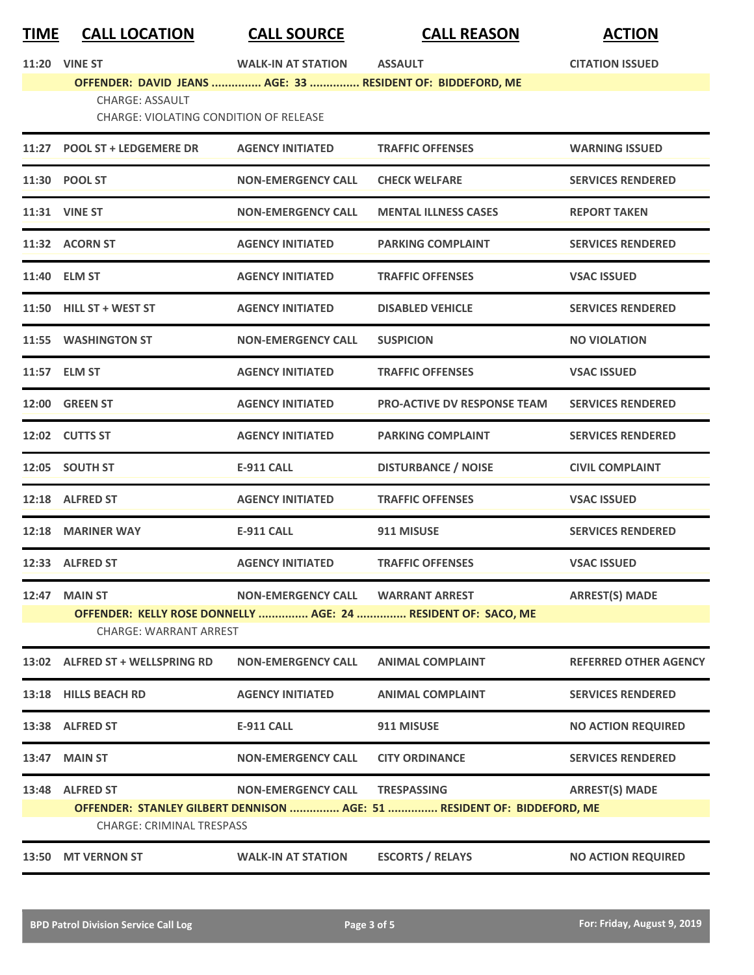| <u>TIME</u>                                                                                    | <b>CALL LOCATION</b>                                                    | <b>CALL SOURCE</b>        | <b>CALL REASON</b>                                                      | <b>ACTION</b>                |
|------------------------------------------------------------------------------------------------|-------------------------------------------------------------------------|---------------------------|-------------------------------------------------------------------------|------------------------------|
|                                                                                                | <b>11:20 VINE ST</b>                                                    | <b>WALK-IN AT STATION</b> | <b>ASSAULT</b>                                                          | <b>CITATION ISSUED</b>       |
|                                                                                                |                                                                         |                           | OFFENDER: DAVID JEANS  AGE: 33  RESIDENT OF: BIDDEFORD, ME              |                              |
|                                                                                                | <b>CHARGE: ASSAULT</b><br><b>CHARGE: VIOLATING CONDITION OF RELEASE</b> |                           |                                                                         |                              |
|                                                                                                | 11:27 POOL ST + LEDGEMERE DR                                            | <b>AGENCY INITIATED</b>   | <b>TRAFFIC OFFENSES</b>                                                 | <b>WARNING ISSUED</b>        |
|                                                                                                | 11:30 POOL ST                                                           | <b>NON-EMERGENCY CALL</b> | <b>CHECK WELFARE</b>                                                    | <b>SERVICES RENDERED</b>     |
|                                                                                                | 11:31 VINE ST                                                           | <b>NON-EMERGENCY CALL</b> | <b>MENTAL ILLNESS CASES</b>                                             | <b>REPORT TAKEN</b>          |
|                                                                                                | 11:32 ACORN ST                                                          | <b>AGENCY INITIATED</b>   | <b>PARKING COMPLAINT</b>                                                | <b>SERVICES RENDERED</b>     |
|                                                                                                | 11:40 ELM ST                                                            | <b>AGENCY INITIATED</b>   | <b>TRAFFIC OFFENSES</b>                                                 | <b>VSAC ISSUED</b>           |
|                                                                                                | 11:50 HILL ST + WEST ST                                                 | <b>AGENCY INITIATED</b>   | <b>DISABLED VEHICLE</b>                                                 | <b>SERVICES RENDERED</b>     |
|                                                                                                | 11:55 WASHINGTON ST                                                     | <b>NON-EMERGENCY CALL</b> | <b>SUSPICION</b>                                                        | <b>NO VIOLATION</b>          |
|                                                                                                | 11:57 ELM ST                                                            | <b>AGENCY INITIATED</b>   | <b>TRAFFIC OFFENSES</b>                                                 | <b>VSAC ISSUED</b>           |
|                                                                                                | 12:00 GREEN ST                                                          | <b>AGENCY INITIATED</b>   | <b>PRO-ACTIVE DV RESPONSE TEAM</b>                                      | <b>SERVICES RENDERED</b>     |
|                                                                                                | 12:02 CUTTS ST                                                          | <b>AGENCY INITIATED</b>   | <b>PARKING COMPLAINT</b>                                                | <b>SERVICES RENDERED</b>     |
|                                                                                                | 12:05 SOUTH ST                                                          | <b>E-911 CALL</b>         | <b>DISTURBANCE / NOISE</b>                                              | <b>CIVIL COMPLAINT</b>       |
|                                                                                                | 12:18 ALFRED ST                                                         | <b>AGENCY INITIATED</b>   | <b>TRAFFIC OFFENSES</b>                                                 | <b>VSAC ISSUED</b>           |
|                                                                                                | 12:18 MARINER WAY                                                       | <b>E-911 CALL</b>         | 911 MISUSE                                                              | <b>SERVICES RENDERED</b>     |
|                                                                                                | 12:33 ALFRED ST                                                         | <b>AGENCY INITIATED</b>   | <b>TRAFFIC OFFENSES</b>                                                 | <b>VSAC ISSUED</b>           |
|                                                                                                | <b>12:47 MAIN ST</b>                                                    | <b>NON-EMERGENCY CALL</b> | <b>WARRANT ARREST</b>                                                   | <b>ARREST(S) MADE</b>        |
| OFFENDER: KELLY ROSE DONNELLY  AGE: 24  RESIDENT OF: SACO, ME<br><b>CHARGE: WARRANT ARREST</b> |                                                                         |                           |                                                                         |                              |
|                                                                                                | 13:02 ALFRED ST + WELLSPRING RD                                         | <b>NON-EMERGENCY CALL</b> | <b>ANIMAL COMPLAINT</b>                                                 | <b>REFERRED OTHER AGENCY</b> |
|                                                                                                | 13:18 HILLS BEACH RD                                                    | <b>AGENCY INITIATED</b>   | <b>ANIMAL COMPLAINT</b>                                                 | <b>SERVICES RENDERED</b>     |
|                                                                                                | 13:38 ALFRED ST                                                         | <b>E-911 CALL</b>         | 911 MISUSE                                                              | <b>NO ACTION REQUIRED</b>    |
| 13:47                                                                                          | <b>MAIN ST</b>                                                          | <b>NON-EMERGENCY CALL</b> | <b>CITY ORDINANCE</b>                                                   | <b>SERVICES RENDERED</b>     |
| 13:48                                                                                          | <b>ALFRED ST</b>                                                        | <b>NON-EMERGENCY CALL</b> | <b>TRESPASSING</b>                                                      | <b>ARREST(S) MADE</b>        |
|                                                                                                |                                                                         |                           | OFFENDER: STANLEY GILBERT DENNISON  AGE: 51  RESIDENT OF: BIDDEFORD, ME |                              |
|                                                                                                | <b>CHARGE: CRIMINAL TRESPASS</b>                                        |                           |                                                                         |                              |
| 13:50                                                                                          | <b>MT VERNON ST</b>                                                     | <b>WALK-IN AT STATION</b> | <b>ESCORTS / RELAYS</b>                                                 | <b>NO ACTION REQUIRED</b>    |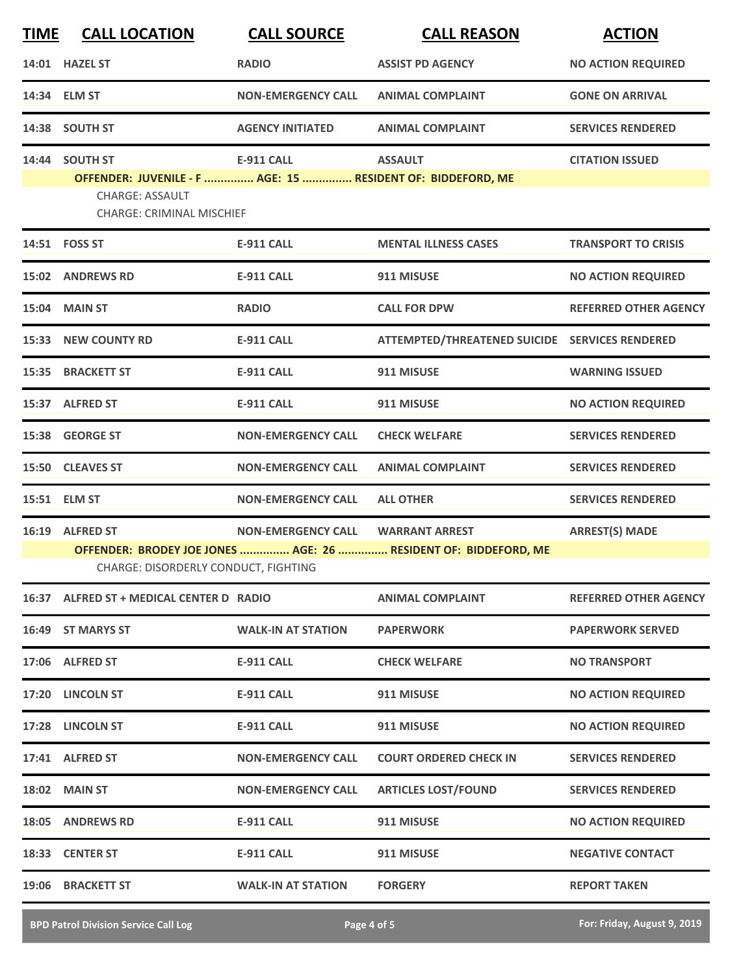| <b>TIME</b> | <b>CALL LOCATION</b>                                                          | <b>CALL SOURCE</b>        | <b>CALL REASON</b>                                              | <b>ACTION</b>                |
|-------------|-------------------------------------------------------------------------------|---------------------------|-----------------------------------------------------------------|------------------------------|
|             | 14:01 HAZEL ST                                                                | <b>RADIO</b>              | <b>ASSIST PD AGENCY</b>                                         | <b>NO ACTION REQUIRED</b>    |
|             | 14:34 ELM ST                                                                  | <b>NON-EMERGENCY CALL</b> | <b>ANIMAL COMPLAINT</b>                                         | <b>GONE ON ARRIVAL</b>       |
|             | 14:38 SOUTH ST                                                                | <b>AGENCY INITIATED</b>   | <b>ANIMAL COMPLAINT</b>                                         | <b>SERVICES RENDERED</b>     |
|             | 14:44 SOUTH ST<br>OFFENDER: JUVENILE - F  AGE: 15  RESIDENT OF: BIDDEFORD, ME | <b>E-911 CALL</b>         | <b>ASSAULT</b>                                                  | <b>CITATION ISSUED</b>       |
|             | <b>CHARGE: ASSAULT</b><br><b>CHARGE: CRIMINAL MISCHIEF</b>                    |                           |                                                                 |                              |
|             | 14:51 FOSS ST                                                                 | <b>E-911 CALL</b>         | <b>MENTAL ILLNESS CASES</b>                                     | <b>TRANSPORT TO CRISIS</b>   |
|             | 15:02 ANDREWS RD                                                              | E-911 CALL                | 911 MISUSE                                                      | <b>NO ACTION REQUIRED</b>    |
| 15:04       | <b>MAIN ST</b>                                                                | <b>RADIO</b>              | <b>CALL FOR DPW</b>                                             | <b>REFERRED OTHER AGENCY</b> |
|             | 15:33 NEW COUNTY RD                                                           | <b>E-911 CALL</b>         | ATTEMPTED/THREATENED SUICIDE SERVICES RENDERED                  |                              |
|             | 15:35 BRACKETT ST                                                             | <b>E-911 CALL</b>         | 911 MISUSE                                                      | <b>WARNING ISSUED</b>        |
|             | 15:37 ALFRED ST                                                               | <b>E-911 CALL</b>         | 911 MISUSE                                                      | <b>NO ACTION REQUIRED</b>    |
|             | 15:38 GEORGE ST                                                               | <b>NON-EMERGENCY CALL</b> | <b>CHECK WELFARE</b>                                            | <b>SERVICES RENDERED</b>     |
|             | 15:50 CLEAVES ST                                                              | <b>NON-EMERGENCY CALL</b> | <b>ANIMAL COMPLAINT</b>                                         | <b>SERVICES RENDERED</b>     |
|             | 15:51 ELM ST                                                                  | <b>NON-EMERGENCY CALL</b> | <b>ALL OTHER</b>                                                | <b>SERVICES RENDERED</b>     |
|             | 16:19 ALFRED ST                                                               | <b>NON-EMERGENCY CALL</b> | <b>WARRANT ARREST</b>                                           | <b>ARREST(S) MADE</b>        |
|             | CHARGE: DISORDERLY CONDUCT, FIGHTING                                          |                           | OFFENDER: BRODEY JOE JONES  AGE: 26  RESIDENT OF: BIDDEFORD, ME |                              |
|             | 16:37 ALFRED ST + MEDICAL CENTER D RADIO                                      |                           | <b>ANIMAL COMPLAINT</b>                                         | <b>REFERRED OTHER AGENCY</b> |
|             | 16:49 ST MARYS ST                                                             | <b>WALK-IN AT STATION</b> | <b>PAPERWORK</b>                                                | <b>PAPERWORK SERVED</b>      |
|             | 17:06 ALFRED ST                                                               | <b>E-911 CALL</b>         | <b>CHECK WELFARE</b>                                            | <b>NO TRANSPORT</b>          |
|             | 17:20 LINCOLN ST                                                              | E-911 CALL                | 911 MISUSE                                                      | <b>NO ACTION REQUIRED</b>    |
|             | 17:28 LINCOLN ST                                                              | <b>E-911 CALL</b>         | 911 MISUSE                                                      | <b>NO ACTION REQUIRED</b>    |
|             | 17:41 ALFRED ST                                                               | <b>NON-EMERGENCY CALL</b> | <b>COURT ORDERED CHECK IN</b>                                   | <b>SERVICES RENDERED</b>     |
|             | <b>18:02 MAIN ST</b>                                                          | <b>NON-EMERGENCY CALL</b> | <b>ARTICLES LOST/FOUND</b>                                      | <b>SERVICES RENDERED</b>     |
|             | 18:05 ANDREWS RD                                                              | <b>E-911 CALL</b>         | 911 MISUSE                                                      | <b>NO ACTION REQUIRED</b>    |
|             | 18:33 CENTER ST                                                               | <b>E-911 CALL</b>         | 911 MISUSE                                                      | <b>NEGATIVE CONTACT</b>      |
|             | 19:06 BRACKETT ST                                                             | <b>WALK-IN AT STATION</b> | <b>FORGERY</b>                                                  | <b>REPORT TAKEN</b>          |